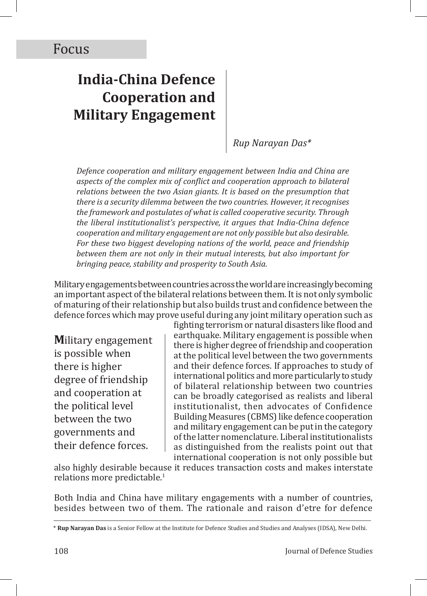# **India-China Defence Cooperation and Military Engagement**

*Rup Narayan Das\**

*Defence cooperation and military engagement between India and China are aspects of the complex mix of conflict and cooperation approach to bilateral relations between the two Asian giants. It is based on the presumption that there is a security dilemma between the two countries. However, it recognises the framework and postulates of what is called cooperative security. Through the liberal institutionalist's perspective, it argues that India-China defence cooperation and military engagement are not only possible but also desirable. For these two biggest developing nations of the world, peace and friendship between them are not only in their mutual interests, but also important for bringing peace, stability and prosperity to South Asia.*

Military engagements between countries across the world are increasingly becoming an important aspect of the bilateral relations between them. It is not only symbolic of maturing of their relationship but also builds trust and confidence between the defence forces which may prove useful during any joint military operation such as

**M**ilitary engagement is possible when there is higher degree of friendship and cooperation at the political level between the two governments and their defence forces.

fighting terrorism or natural disasters like flood and earthquake. Military engagement is possible when there is higher degree of friendship and cooperation at the political level between the two governments and their defence forces. If approaches to study of international politics and more particularly to study of bilateral relationship between two countries can be broadly categorised as realists and liberal institutionalist, then advocates of Confidence Building Measures (CBMS) like defence cooperation and military engagement can be put in the category of the latter nomenclature. Liberal institutionalists as distinguished from the realists point out that international cooperation is not only possible but

also highly desirable because it reduces transaction costs and makes interstate relations more predictable.<sup>1</sup>

Both India and China have military engagements with a number of countries, besides between two of them. The rationale and raison d'etre for defence

<sup>\*</sup> **Rup Narayan Das** is a Senior Fellow at the Institute for Defence Studies and Studies and Analyses (IDSA), New Delhi.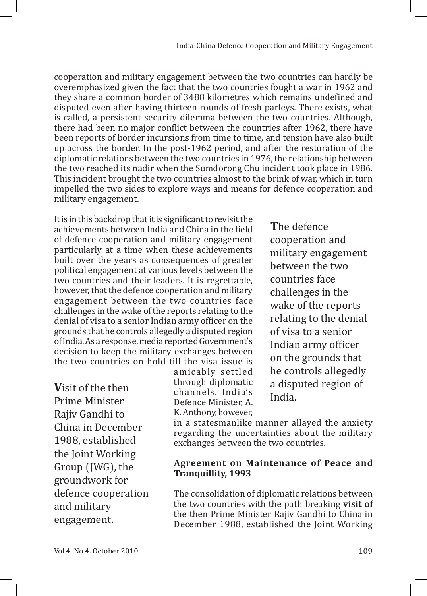cooperation and military engagement between the two countries can hardly be overemphasized given the fact that the two countries fought a war in 1962 and they share a common border of 3488 kilometres which remains undefined and disputed even after having thirteen rounds of fresh parleys. There exists, what is called, a persistent security dilemma between the two countries. Although, there had been no major conflict between the countries after 1962, there have been reports of border incursions from time to time, and tension have also built up across the border. In the post-1962 period, and after the restoration of the diplomatic relations between the two countries in 1976, the relationship between the two reached its nadir when the Sumdorong Chu incident took place in 1986. This incident brought the two countries almost to the brink of war, which in turn impelled the two sides to explore ways and means for defence cooperation and military engagement.

It is in this backdrop that it is significant to revisit the achievements between India and China in the field of defence cooperation and military engagement particularly at a time when these achievements built over the years as consequences of greater political engagement at various levels between the two countries and their leaders. It is regrettable, however, that the defence cooperation and military engagement between the two countries face challenges in the wake of the reports relating to the denial of visa to a senior Indian army officer on the grounds that he controls allegedly a disputed region of India. As a response, media reported Government's decision to keep the military exchanges between the two countries on hold till the visa issue is

**V**isit of the then Prime Minister Rajiv Gandhi to China in December 1988, established the Joint Working Group (JWG), the groundwork for defence cooperation and military engagement.

amicably settled through diplomatic channels. India's Defence Minister, A. K. Anthony, however,

**T**he defence cooperation and military engagement between the two countries face challenges in the wake of the reports relating to the denial of visa to a senior Indian army officer on the grounds that he controls allegedly a disputed region of India.

in a statesmanlike manner allayed the anxiety regarding the uncertainties about the military exchanges between the two countries.

#### **Agreement on Maintenance of Peace and Tranquillity, 1993**

The consolidation of diplomatic relations between the two countries with the path breaking **visit of**  the then Prime Minister Rajiv Gandhi to China in December 1988, established the Joint Working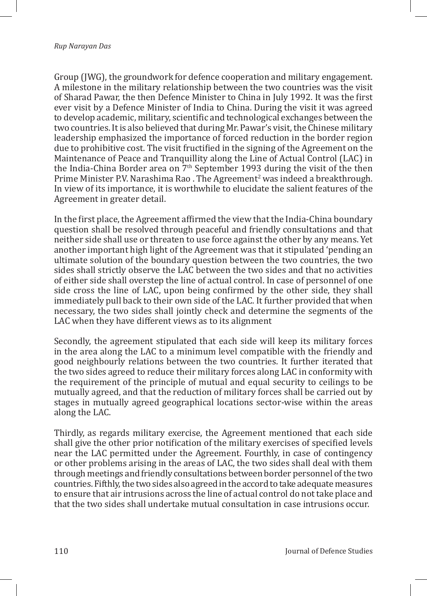Group (JWG), the groundwork for defence cooperation and military engagement. A milestone in the military relationship between the two countries was the visit of Sharad Pawar, the then Defence Minister to China in July 1992. It was the first ever visit by a Defence Minister of India to China. During the visit it was agreed to develop academic, military, scientific and technological exchanges between the two countries. It is also believed that during Mr. Pawar's visit, the Chinese military leadership emphasized the importance of forced reduction in the border region due to prohibitive cost. The visit fructified in the signing of the Agreement on the Maintenance of Peace and Tranquillity along the Line of Actual Control (LAC) in the India-China Border area on  $7<sup>th</sup>$  September 1993 during the visit of the then Prime Minister P.V. Narashima Rao . The Agreement<sup>2</sup> was indeed a breakthrough. In view of its importance, it is worthwhile to elucidate the salient features of the Agreement in greater detail.

In the first place, the Agreement affirmed the view that the India-China boundary question shall be resolved through peaceful and friendly consultations and that neither side shall use or threaten to use force against the other by any means. Yet another important high light of the Agreement was that it stipulated 'pending an ultimate solution of the boundary question between the two countries, the two sides shall strictly observe the LAC between the two sides and that no activities of either side shall overstep the line of actual control. In case of personnel of one side cross the line of LAC, upon being confirmed by the other side, they shall immediately pull back to their own side of the LAC. It further provided that when necessary, the two sides shall jointly check and determine the segments of the LAC when they have different views as to its alignment

Secondly, the agreement stipulated that each side will keep its military forces in the area along the LAC to a minimum level compatible with the friendly and good neighbourly relations between the two countries. It further iterated that the two sides agreed to reduce their military forces along LAC in conformity with the requirement of the principle of mutual and equal security to ceilings to be mutually agreed, and that the reduction of military forces shall be carried out by stages in mutually agreed geographical locations sector-wise within the areas along the LAC.

L Thirdly, as regards military exercise, the Agreement mentioned that each side shall give the other prior notification of the military exercises of specified levels near the LAC permitted under the Agreement. Fourthly, in case of contingency or other problems arising in the areas of LAC, the two sides shall deal with them through meetings and friendly consultations between border personnel of the two countries. Fifthly, the two sides also agreed in the accord to take adequate measures to ensure that air intrusions across the line of actual control do not take place and that the two sides shall undertake mutual consultation in case intrusions occur.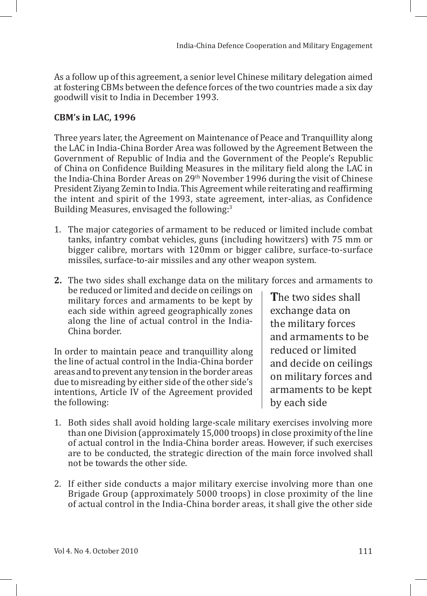As a follow up of this agreement, a senior level Chinese military delegation aimed at fostering CBMs between the defence forces of the two countries made a six day goodwill visit to India in December 1993.

#### **CBM's in LAC, 1996**

Three years later, the Agreement on Maintenance of Peace and Tranquillity along the LAC in India-China Border Area was followed by the Agreement Between the Government of Republic of India and the Government of the People's Republic of China on Confidence Building Measures in the military field along the LAC in the India-China Border Areas on 29<sup>th</sup> November 1996 during the visit of Chinese President Ziyang Zemin to India. This Agreement while reiterating and reaffirming the intent and spirit of the 1993, state agreement, inter-alias, as Confidence Building Measures, envisaged the following:<sup>3</sup>

- 1. The major categories of armament to be reduced or limited include combat tanks, infantry combat vehicles, guns (including howitzers) with 75 mm or bigger calibre, mortars with 120mm or bigger calibre, surface-to-surface missiles, surface-to-air missiles and any other weapon system.
- **2.** The two sides shall exchange data on the military forces and armaments to

be reduced or limited and decide on ceilings on military forces and armaments to be kept by each side within agreed geographically zones along the line of actual control in the India-China border.

In order to maintain peace and tranquillity along the line of actual control in the India-China border areas and to prevent any tension in the border areas due to misreading by either side of the other side's intentions, Article IV of the Agreement provided the following:

**T**he two sides shall exchange data on the military forces and armaments to be reduced or limited and decide on ceilings on military forces and armaments to be kept by each side

- 1. Both sides shall avoid holding large-scale military exercises involving more than one Division (approximately 15,000 troops) in close proximity of the line of actual control in the India-China border areas. However, if such exercises are to be conducted, the strategic direction of the main force involved shall not be towards the other side.
- 2. If either side conducts a major military exercise involving more than one Brigade Group (approximately 5000 troops) in close proximity of the line of actual control in the India-China border areas, it shall give the other side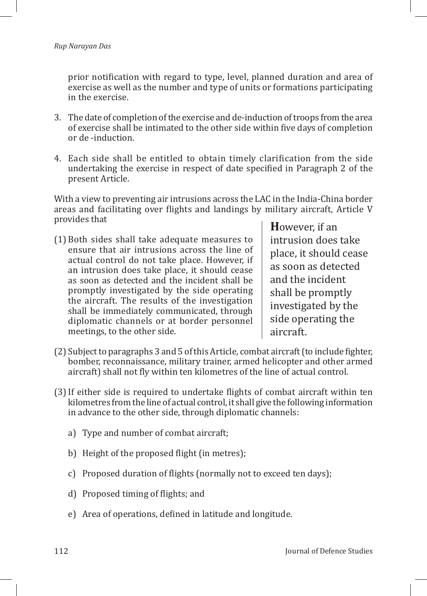prior notification with regard to type, level, planned duration and area of exercise as well as the number and type of units or formations participating in the exercise.

- 3. The date of completion of the exercise and de-induction of troops from the area of exercise shall be intimated to the other side within five days of completion or de -induction.
- 4. Each side shall be entitled to obtain timely clarification from the side undertaking the exercise in respect of date specified in Paragraph 2 of the present Article.

With a view to preventing air intrusions across the LAC in the India-China border areas and facilitating over flights and landings by military aircraft, Article V provides that

(1) Both sides shall take adequate measures to ensure that air intrusions across the line of actual control do not take place. However, if an intrusion does take place, it should cease as soon as detected and the incident shall be promptly investigated by the side operating the aircraft. The results of the investigation shall be immediately communicated, through diplomatic channels or at border personnel meetings, to the other side.

**H**owever, if an intrusion does take place, it should cease as soon as detected and the incident shall be promptly investigated by the side operating the aircraft.

- (2) Subject to paragraphs 3 and 5 of this Article, combat aircraft (to include fighter, bomber, reconnaissance, military trainer, armed helicopter and other armed aircraft) shall not fly within ten kilometres of the line of actual control.
- (3)If either side is required to undertake flights of combat aircraft within ten kilometres from the line of actual control, it shall give the following information in advance to the other side, through diplomatic channels:
	- a) Type and number of combat aircraft;
	- b) Height of the proposed flight (in metres);
	- c) Proposed duration of flights (normally not to exceed ten days);
	- d) Proposed timing of flights; and
	- e) Area of operations, defined in latitude and longitude.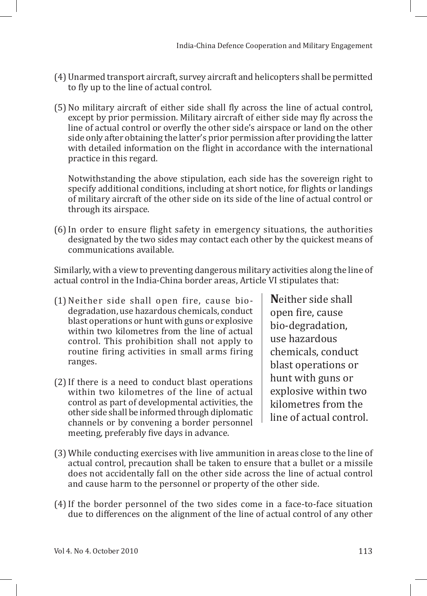- (4) Unarmed transport aircraft, survey aircraft and helicopters shall be permitted to fly up to the line of actual control.
- (5) No military aircraft of either side shall fly across the line of actual control, except by prior permission. Military aircraft of either side may fly across the line of actual control or overfly the other side's airspace or land on the other side only after obtaining the latter's prior permission after providing the latter with detailed information on the flight in accordance with the international practice in this regard.

Notwithstanding the above stipulation, each side has the sovereign right to specify additional conditions, including at short notice, for flights or landings of military aircraft of the other side on its side of the line of actual control or through its airspace.

(6)In order to ensure flight safety in emergency situations, the authorities designated by the two sides may contact each other by the quickest means of communications available.

Similarly, with a view to preventing dangerous military activities along the line of actual control in the India-China border areas, Article VI stipulates that:

- (1)Neither side shall open fire, cause biodegradation, use hazardous chemicals, conduct blast operations or hunt with guns or explosive within two kilometres from the line of actual control. This prohibition shall not apply to routine firing activities in small arms firing ranges.
- (2)If there is a need to conduct blast operations within two kilometres of the line of actual control as part of developmental activities, the other side shall be informed through diplomatic channels or by convening a border personnel meeting, preferably five days in advance.

**N**either side shall open fire, cause bio-degradation, use hazardous chemicals, conduct blast operations or hunt with guns or explosive within two kilometres from the line of actual control.

- (3) While conducting exercises with live ammunition in areas close to the line of actual control, precaution shall be taken to ensure that a bullet or a missile does not accidentally fall on the other side across the line of actual control and cause harm to the personnel or property of the other side.
- (4)If the border personnel of the two sides come in a face-to-face situation due to differences on the alignment of the line of actual control of any other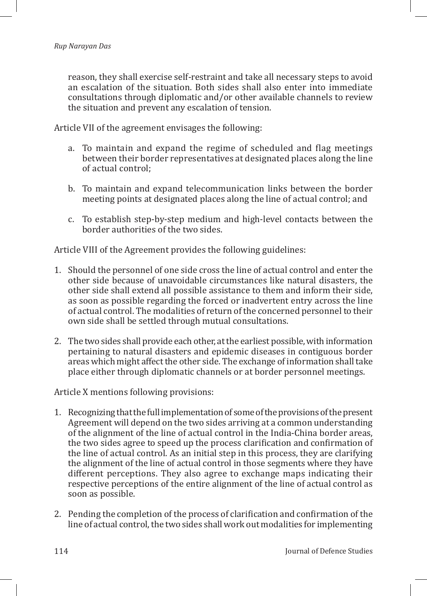reason, they shall exercise self-restraint and take all necessary steps to avoid an escalation of the situation. Both sides shall also enter into immediate consultations through diplomatic and/or other available channels to review the situation and prevent any escalation of tension.

Article VII of the agreement envisages the following:

- a. To maintain and expand the regime of scheduled and flag meetings between their border representatives at designated places along the line of actual control;
- b. To maintain and expand telecommunication links between the border meeting points at designated places along the line of actual control; and
- c. To establish step-by-step medium and high-level contacts between the border authorities of the two sides.

Article VIII of the Agreement provides the following guidelines:

- 1. Should the personnel of one side cross the line of actual control and enter the other side because of unavoidable circumstances like natural disasters, the other side shall extend all possible assistance to them and inform their side, as soon as possible regarding the forced or inadvertent entry across the line of actual control. The modalities of return of the concerned personnel to their own side shall be settled through mutual consultations.
- 2. The two sides shall provide each other, at the earliest possible, with information pertaining to natural disasters and epidemic diseases in contiguous border areas which might affect the other side. The exchange of information shall take place either through diplomatic channels or at border personnel meetings.

Article X mentions following provisions:

- 1. Recognizing that the full implementation of some of the provisions of the present Agreement will depend on the two sides arriving at a common understanding of the alignment of the line of actual control in the India-China border areas, the two sides agree to speed up the process clarification and confirmation of the line of actual control. As an initial step in this process, they are clarifying the alignment of the line of actual control in those segments where they have different perceptions. They also agree to exchange maps indicating their respective perceptions of the entire alignment of the line of actual control as soon as possible.
- 2. Pending the completion of the process of clarification and confirmation of the line of actual control, the two sides shall work out modalities for implementing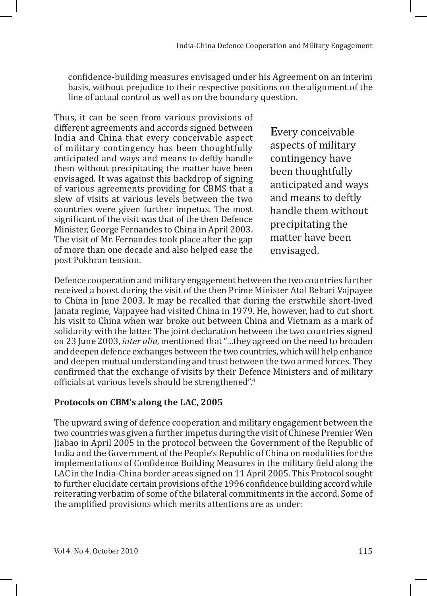confidence-building measures envisaged under his Agreement on an interim basis, without prejudice to their respective positions on the alignment of the line of actual control as well as on the boundary question.

Thus, it can be seen from various provisions of different agreements and accords signed between India and China that every conceivable aspect of military contingency has been thoughtfully anticipated and ways and means to deftly handle them without precipitating the matter have been envisaged. It was against this backdrop of signing of various agreements providing for CBMS that a slew of visits at various levels between the two countries were given further impetus. The most significant of the visit was that of the then Defence Minister, George Fernandes to China in April 2003. The visit of Mr. Fernandes took place after the gap of more than one decade and also helped ease the post Pokhran tension.

**E**very conceivable aspects of military contingency have been thoughtfully anticipated and ways and means to deftly handle them without precipitating the matter have been envisaged.

Defence cooperation and military engagement between the two countries further received a boost during the visit of the then Prime Minister Atal Behari Vajpayee to China in June 2003. It may be recalled that during the erstwhile short-lived Janata regime, Vajpayee had visited China in 1979. He, however, had to cut short his visit to China when war broke out between China and Vietnam as a mark of solidarity with the latter. The joint declaration between the two countries signed on 23 June 2003, *inter alia,* mentioned that "…they agreed on the need to broaden and deepen defence exchanges between the two countries, which will help enhance and deepen mutual understanding and trust between the two armed forces. They confirmed that the exchange of visits by their Defence Ministers and of military officials at various levels should be strengthened".<sup>4</sup>

# **Protocols on CBM's along the LAC, 2005**

The upward swing of defence cooperation and military engagement between the two countries was given a further impetus during the visit of Chinese Premier Wen Jiabao in April 2005 in the protocol between the Government of the Republic of India and the Government of the People's Republic of China on modalities for the implementations of Confidence Building Measures in the military field along the LAC in the India-China border areas signed on 11 April 2005. This Protocol sought to further elucidate certain provisions of the 1996 confidence building accord while reiterating verbatim of some of the bilateral commitments in the accord. Some of the amplified provisions which merits attentions are as under: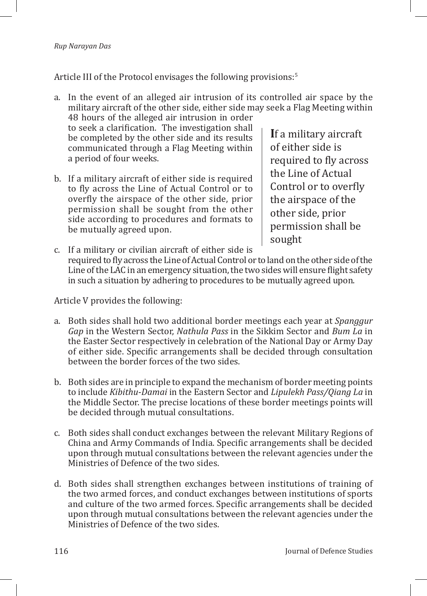Article III of the Protocol envisages the following provisions:<sup>5</sup>

- a. In the event of an alleged air intrusion of its controlled air space by the military aircraft of the other side, either side may seek a Flag Meeting within 48 hours of the alleged air intrusion in order to seek a clarification. The investigation shall be completed by the other side and its results communicated through a Flag Meeting within a period of four weeks. **I**f a military aircraft of either side is
- b.If a military aircraft of either side is required to fly across the Line of Actual Control or to overfly the airspace of the other side, prior permission shall be sought from the other side according to procedures and formats to be mutually agreed upon.

required to fly across the Line of Actual Control or to overfly the airspace of the other side, prior permission shall be sought

c. If a military or civilian aircraft of either side is required to fly across the Line of Actual Control or to land on the other side of the Line of the LAC in an emergency situation, the two sides will ensure flight safety in such a situation by adhering to procedures to be mutually agreed upon.

Article V provides the following:

- a. Both sides shall hold two additional border meetings each year at *Spanggur Gap* in the Western Sector, *Nathula Pass* in the Sikkim Sector and *Bum La* in the Easter Sector respectively in celebration of the National Day or Army Day of either side. Specific arrangements shall be decided through consultation between the border forces of the two sides.
- b. Both sides are in principle to expand the mechanism of border meeting points to include *Kibithu-Damai* in the Eastern Sector and *Lipulekh Pass/Qiang La* in the Middle Sector. The precise locations of these border meetings points will be decided through mutual consultations.
- c. Both sides shall conduct exchanges between the relevant Military Regions of China and Army Commands of India. Specific arrangements shall be decided upon through mutual consultations between the relevant agencies under the Ministries of Defence of the two sides.
- d. Both sides shall strengthen exchanges between institutions of training of the two armed forces, and conduct exchanges between institutions of sports and culture of the two armed forces. Specific arrangements shall be decided upon through mutual consultations between the relevant agencies under the Ministries of Defence of the two sides.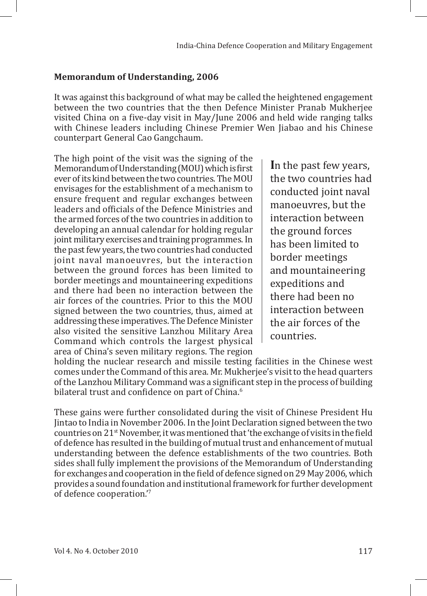# **Memorandum of Understanding, 2006**

It was against this background of what may be called the heightened engagement between the two countries that the then Defence Minister Pranab Mukherjee visited China on a five-day visit in May/June 2006 and held wide ranging talks with Chinese leaders including Chinese Premier Wen Jiabao and his Chinese counterpart General Cao Gangchaum.

The high point of the visit was the signing of the Memorandum of Understanding (MOU) which is first ever of its kind between the two countries. The MOU envisages for the establishment of a mechanism to ensure frequent and regular exchanges between leaders and officials of the Defence Ministries and the armed forces of the two countries in addition to developing an annual calendar for holding regular joint military exercises and training programmes. In the past few years, the two countries had conducted joint naval manoeuvres, but the interaction between the ground forces has been limited to border meetings and mountaineering expeditions and there had been no interaction between the air forces of the countries. Prior to this the MOU signed between the two countries, thus, aimed at addressing these imperatives. The Defence Minister also visited the sensitive Lanzhou Military Area Command which controls the largest physical area of China's seven military regions. The region

**I**n the past few years, the two countries had conducted joint naval manoeuvres, but the interaction between the ground forces has been limited to border meetings and mountaineering expeditions and there had been no interaction between the air forces of the countries.

holding the nuclear research and missile testing facilities in the Chinese west comes under the Command of this area. Mr. Mukherjee's visit to the head quarters of the Lanzhou Military Command was a significant step in the process of building bilateral trust and confidence on part of China.<sup>6</sup>

These gains were further consolidated during the visit of Chinese President Hu Jintao to India in November 2006. In the Joint Declaration signed between the two countries on 21st November, it was mentioned that 'the exchange of visits in the field of defence has resulted in the building of mutual trust and enhancement of mutual understanding between the defence establishments of the two countries. Both sides shall fully implement the provisions of the Memorandum of Understanding for exchanges and cooperation in the field of defence signed on 29 May 2006, which provides a sound foundation and institutional framework for further development of defence cooperation.'7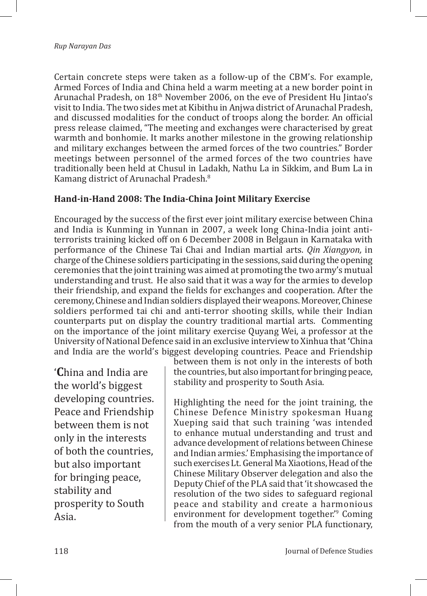Certain concrete steps were taken as a follow-up of the CBM's. For example, Armed Forces of India and China held a warm meeting at a new border point in Arunachal Pradesh, on  $18<sup>th</sup>$  November 2006, on the eve of President Hu Jintao's visit to India. The two sides met at Kibithu in Anjwa district of Arunachal Pradesh, and discussed modalities for the conduct of troops along the border. An official press release claimed, "The meeting and exchanges were characterised by great warmth and bonhomie. It marks another milestone in the growing relationship and military exchanges between the armed forces of the two countries." Border meetings between personnel of the armed forces of the two countries have traditionally been held at Chusul in Ladakh, Nathu La in Sikkim, and Bum La in Kamang district of Arunachal Pradesh.<sup>8</sup>

# **Hand-in-Hand 2008: The India-China Joint Military Exercise**

Encouraged by the success of the first ever joint military exercise between China and India is Kunming in Yunnan in 2007, a week long China-India joint antiterrorists training kicked off on 6 December 2008 in Belgaun in Karnataka with performance of the Chinese Tai Chai and Indian martial arts. *Qin Xiangyon,* in charge of the Chinese soldiers participating in the sessions, said during the opening ceremonies that the joint training was aimed at promoting the two army's mutual understanding and trust. He also said that it was a way for the armies to develop their friendship, and expand the fields for exchanges and cooperation. After the ceremony, Chinese and Indian soldiers displayed their weapons. Moreover, Chinese soldiers performed tai chi and anti-terror shooting skills, while their Indian counterparts put on display the country traditional martial arts. Commenting on the importance of the joint military exercise Quyang Wei, a professor at the University of National Defence said in an exclusive interview to Xinhua that **'**China and India are the world's biggest developing countries. Peace and Friendship

'**C**hina and India are the world's biggest developing countries. Peace and Friendship between them is not only in the interests of both the countries, but also important for bringing peace, stability and prosperity to South Asia.

between them is not only in the interests of both the countries, but also important for bringing peace, stability and prosperity to South Asia.

Highlighting the need for the joint training, the Chinese Defence Ministry spokesman Huang Xueping said that such training 'was intended to enhance mutual understanding and trust and advance development of relations between Chinese and Indian armies.' Emphasising the importance of such exercises Lt. General Ma Xiaotions, Head of the Chinese Military Observer delegation and also the Deputy Chief of the PLA said that 'it showcased the resolution of the two sides to safeguard regional peace and stability and create a harmonious environment for development together.'<sup>9</sup> Coming from the mouth of a very senior PLA functionary,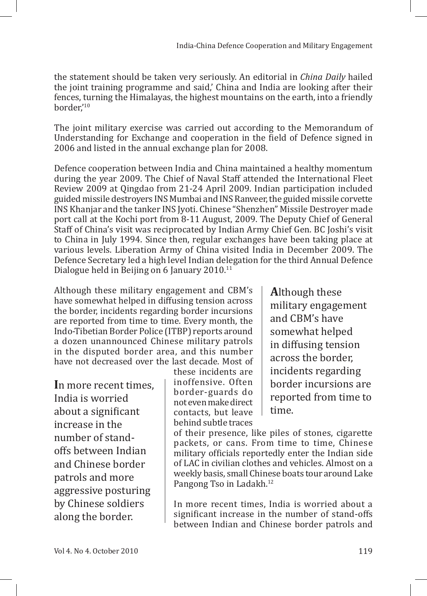the statement should be taken very seriously. An editorial in *China Daily* hailed the joint training programme and said,' China and India are looking after their fences, turning the Himalayas, the highest mountains on the earth, into a friendly border,'<sup>10</sup>

The joint military exercise was carried out according to the Memorandum of Understanding for Exchange and cooperation in the field of Defence signed in 2006 and listed in the annual exchange plan for 2008.

Defence cooperation between India and China maintained a healthy momentum during the year 2009. The Chief of Naval Staff attended the International Fleet Review 2009 at Qingdao from 21-24 April 2009. Indian participation included guided missile destroyers INS Mumbai and INS Ranveer, the guided missile corvette INS Khanjar and the tanker INS Jyoti. Chinese "Shenzhen" Missile Destroyer made port call at the Kochi port from 8-11 August, 2009. The Deputy Chief of General Staff of China's visit was reciprocated by Indian Army Chief Gen. BC Joshi's visit to China in July 1994. Since then, regular exchanges have been taking place at various levels. Liberation Army of China visited India in December 2009. The Defence Secretary led a high level Indian delegation for the third Annual Defence Dialogue held in Beijing on 6 January 2010.<sup>11</sup>

Although these military engagement and CBM's have somewhat helped in diffusing tension across the border, incidents regarding border incursions are reported from time to time. Every month, the Indo-Tibetian Border Police (ITBP) reports around a dozen unannounced Chinese military patrols in the disputed border area, and this number have not decreased over the last decade. Most of

**I**n more recent times, India is worried about a significant increase in the number of standoffs between Indian and Chinese border patrols and more aggressive posturing by Chinese soldiers along the border.

these incidents are inoffensive. Often border-guards do not even make direct contacts, but leave behind subtle traces **A**lthough these military engagement and CBM's have somewhat helped in diffusing tension across the border, incidents regarding border incursions are reported from time to time.

of their presence, like piles of stones, cigarette packets, or cans. From time to time, Chinese military officials reportedly enter the Indian side of LAC in civilian clothes and vehicles. Almost on a weekly basis, small Chinese boats tour around Lake Pangong Tso in Ladakh.<sup>12</sup>

In more recent times, India is worried about a significant increase in the number of stand-offs between Indian and Chinese border patrols and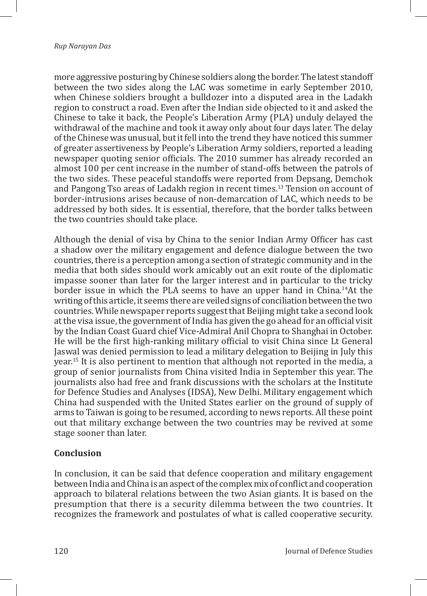more aggressive posturing by Chinese soldiers along the border. The latest standoff between the two sides along the LAC was sometime in early September 2010, when Chinese soldiers brought a bulldozer into a disputed area in the Ladakh region to construct a road. Even after the Indian side objected to it and asked the Chinese to take it back, the People's Liberation Army (PLA) unduly delayed the withdrawal of the machine and took it away only about four days later. The delay of the Chinese was unusual, but it fell into the trend they have noticed this summer of greater assertiveness by People's Liberation Army soldiers, reported a leading newspaper quoting senior officials. The 2010 summer has already recorded an almost 100 per cent increase in the number of stand-offs between the patrols of the two sides. These peaceful standoffs were reported from Depsang, Demchok and Pangong Tso areas of Ladakh region in recent times.13 Tension on account of border-intrusions arises because of non-demarcation of LAC, which needs to be addressed by both sides. It is essential, therefore, that the border talks between the two countries should take place.

Although the denial of visa by China to the senior Indian Army Officer has cast a shadow over the military engagement and defence dialogue between the two countries, there is a perception among a section of strategic community and in the media that both sides should work amicably out an exit route of the diplomatic impasse sooner than later for the larger interest and in particular to the tricky border issue in which the PLA seems to have an upper hand in China.14At the writing of this article, it seems there are veiled signs of conciliation between the two countries. While newspaper reports suggest that Beijing might take a second look at the visa issue, the government of India has given the go ahead for an official visit by the Indian Coast Guard chief Vice-Admiral Anil Chopra to Shanghai in October. He will be the first high-ranking military official to visit China since Lt General Jaswal was denied permission to lead a military delegation to Beijing in July this year.<sup>15</sup> It is also pertinent to mention that although not reported in the media, a group of senior journalists from China visited India in September this year. The journalists also had free and frank discussions with the scholars at the Institute for Defence Studies and Analyses (IDSA), New Delhi. Military engagement which China had suspended with the United States earlier on the ground of supply of arms to Taiwan is going to be resumed, according to news reports. All these point out that military exchange between the two countries may be revived at some stage sooner than later.

# **Conclusion**

In conclusion, it can be said that defence cooperation and military engagement between India and China is an aspect of the complex mix of conflict and cooperation approach to bilateral relations between the two Asian giants. It is based on the presumption that there is a security dilemma between the two countries. It recognizes the framework and postulates of what is called cooperative security.